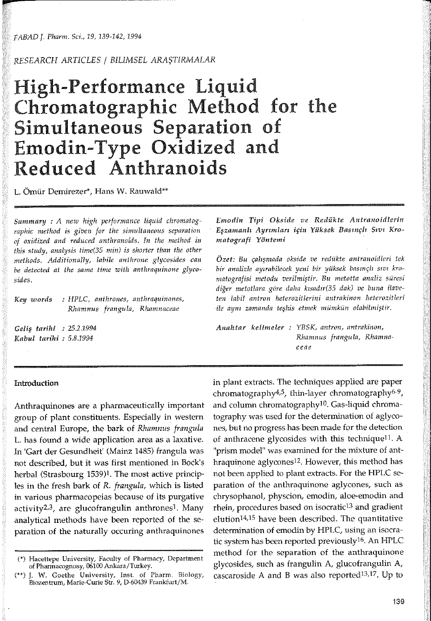*FABAD* J. Plıarm. *Sci., 19, 139-142, 1994* 

*RESEARCH ARTICLES* / *BILIMSEL* ARAŞTIRMALAR

# High-Performance Liquid Chromatographic Method for the Simultaneous Separation of Emodin-Type Oxidized and Reduced Anthranoids

L. Ömür Dernirezer\*, Hans W. Rauwald\*\*

Summary : A new high performance liquid chromatog*raphic method is given for the* sinıultaneous *separation of oxidized and reduced anthranoids. In the method in this study, analysis time*(35 *min) is shorter than the other* nıethods. *Additionally, labile* antlırone *glycosides can be detected at the same tirne* witlı *anthraquinone glycosides.* 

*Key words : HPLC, anthrones, anthraquinones, R..hamnus frangula, R.hamnaceae* 

Geliş *tarihi : 25.2.1994 Kabul tarihi : 5.8.1994* 

*Emodin Tipi Ofs,side ve Redükte Antranoidlerin*  Eşzanıanlı Ayrınıları *için Yüksek* Basınçlı Sıvı *Kromatografi Yöntemi* 

*Özet: Bu* çalışnıada *okside ve redükte antranoidleri tek bir analizle* ayırabilecek *yeni bir yüksek* basınçlı sıvı *kro*nıatografisi *metodu* verilnıiştir. *Bu* nıetotta *analiz süresi*  diğer *metotlara göre daha* kzsadır(35 *dak) ve buna ilaveten labil antron heterozitlerini antrakinon heterozitleri*   $i$ le aynı zamanda teşhis etmek mümkün olabilmiştir.

*Anahtar* kelinıeler *: YBSK,* aııtron, *antrakinon, Rhamnus frangula, Rhamnaceae* 

## **Introduction**

Anthraquinones are a pharmaceutically important group of plant constituents. Especially in western and central Europe, the bark of *Rhamnus frangula*  L. has found a wide application area as a laxative. ln 'Gart der Gesundheit' (Mainz 1485) frangula was not described, but it was first mentioned in Bock's herbal (Strasbourg 1539)1. The most active principles in the fresh bark of *R. frangula,* which is listed in various pharmacopeias because of its purgative activity2,3, are glucofrangulin anthronesl. Many analytical methods have been reported of the separation of the naturally occuring anthraquinones

in plant extracts. The techniques applied are paper chromatography4.5, thin-layer chromatography6-9, and column chromatography<sup>10</sup>. Gas-liquid chromatography was used for the determination of aglycones, but no progress has been made for the detection of anthracene glycosides with this technique<sup>11</sup>. A "prism model" was examined for the mixture of anthraquinone aglycones12. However, this method has not been applied to planı extracts. For the HPLC separation of the anthraquinone aglycones, such as chrysophanol, physcion, emodin, aloe-emodin and rhein, procedures based on isocratic<sup>13</sup> and gradient elution14,15 have been described. The quantitative determination of emodin by HPLC, using an isocratic system has been reported previous!y16. An HPLC method for the separation of the anthraquinone <sup>g</sup>lycosides, such as frangulin A, glucofrangulin A, cascaroside A and B was also reported<sup>13,17</sup>. Up to

<sup>(\*)</sup> Hacettepe University, Faculty of Pharmacy, Department of Pharmacognosy, 06100 Ankara/Turkey.

<sup>(\*\*)</sup> J. W. Goethe University, Inst. of Pharm. Biology, Biozentrum, Marie-Curie Str. 9, D-60439 Frankfurt/M.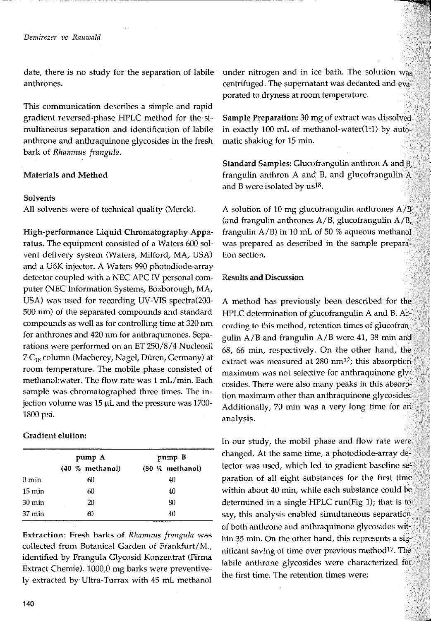date, there is no study for the separation of labile anthrones.

-----

This communication describes a simple and rapid gradient reversed-phase HPLC method for the simultaneous separation and identification of labile anthrone and anthraquinone glycosides in the fresh bark of *Rhamnus frangula.* 

# Materials and Method

### Solvents

Ali solvents were of technical quality (Merek).

High-performance Liquid Chromatography Apparatus. The equipment consisted of a Waters 600 solvent delivery system (Waters, Milford, MA, USA) and a U6K injector. A Waters 990 photodiode-array detector coupled with a NEC APC IV personal computer (NEC Information Systems, Boxborough, MA, USA) was used for recording UV-VIS spectra(200- 500 nm) of the separated compounds and standard compounds as well as for controlling time at 320 nm for anthrones and 420 nm for anthraquinones. Separations were performed on an ET 250/8/4 Nucleosil 7 C<sub>18</sub> column (Macherey, Nagel, Düren, Germany) at room temperature. The mobile phase consisted of methanol:water. The flow rate was 1 mL/min. Each sample was chromatographed three times. The injection volume was  $15 \mu L$  and the pressure was  $1700$ -1800 psi.

Gradient elution:

|                  |                 | <b><i>SPECIAL CONTENTATION CONTENT CONTENTS IN THE OWNER.</i></b> |  |
|------------------|-----------------|-------------------------------------------------------------------|--|
|                  | pump A          | pump B                                                            |  |
|                  | (40 % methanol) | (80 % methanol)                                                   |  |
| 0 min            | 60              | 40                                                                |  |
| $15 \text{ min}$ | 60              | 40                                                                |  |
| 30 min           | 20              | 80                                                                |  |
| 37 min           |                 | 40                                                                |  |
|                  |                 |                                                                   |  |

Extraction: Fresh barks of *Rhamnus frangula* was collected from Botanical Garden of Frankfurt/M., identified by Frangula Glycosid Konzentrat (Firma Extract Chemie). 1000,0 mg barks were preventively extracted by- Ultra-Turrax with 45 mL methanol under nitrogen and in ice bath. The solution was centrifuged. The supernatant was decanted and evaporated to dryness at room temperature.

Sample Preparation: 30 mg of extract was dissolved in exactly 100 mL of methanol-water(l:l) by automatic shaking for 15 min.

Standard Samples: Glucofrangulin anthron A and B, frangulin anthron A and B, and glucofrangulin A and B were isolated by us<sup>18</sup>.

A solution of 10 mg glucofrangulin anthrones  $A/B$ (and frangulin anthrones A/B, glucofrangulin A/B, frangulin  $A/B$ ) in 10 mL of 50 % aqueous methanol was prepared as described in the sample prepara**tion section.** 

#### Results and Discussion

A method has previously been described for the HPLC determination of glucofrangulin A and B. According to this method, retention times of glucofrangulin A/B and frangulin A/B were 41, 38 min and 68, 66 min, respectively. On the other hand, the extract was measured at 280 nm17; this absorption maximum was not selective for anthraquinone glycosides. There were also many peaks in this absorption maximum other than anthraquinone glycosides. Additionally, 70 min was a very long time for an analysis.

In our study, the mobil phase and flow rate were changed. At the same time, a photodiode-array detector was used, which led to gradient baseline separation of all eight substances for the first time within about 40 min, while each substance could be determined in a single HPLC run(Fig 1); that is to say, this analysis enabled simultaneous separation of both anthrone and anthraquinone glycosides within 35 min. On the other hand, this represents a  $sig$ nificant saving of time over previous method17, The labile anthrone glycosides were characterized for the first time. The retention times were: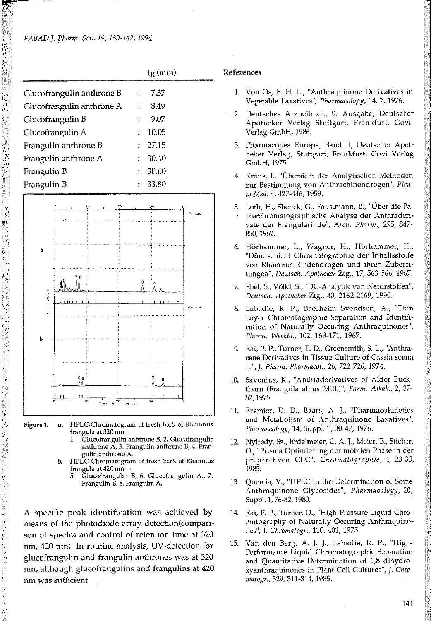|                           |    | $t_R$ (min) |  |
|---------------------------|----|-------------|--|
| Glucofrangulin anthrone B |    | 7.57        |  |
| Glucofrangulin anthrone A | ÷  | 8.49        |  |
| Glucofrangulin B          |    | 9.07        |  |
| Glucofrangulin A          | ٠  | 10.05       |  |
| Frangulin anthrone B      |    | : 27.15     |  |
| Frangulin anthrone A      | ÷. | 30.40       |  |
| Frangulin B               | ÷. | 30.60       |  |
| Frangulin B               |    | : 33.80     |  |
|                           |    |             |  |



Figure 1. a. HPLC-Chromatogram of fresh bark of Rhamnus frangula at 320 nm.

- 1. Glucofrangulin anhtrone B, 2. Glucofrangulin anthrone A, 3. Frangulin anthrone B, 4. Frangulin anthrone A.
- b. HPLC-Chromatogram of fresh bark of Rhamnus frangula at 420 mn.
	- 5. Glucofrangulin B, 6. Glucofrangulin A., 7. Frangulin B, 8. Frangulin A.

A specific peak identification was achieved by means of the photodiode-array detection(comparison of spectra and control of retention time at 320 nm, 420 nm). In routine analysis, UV-detection for glucofrangulin and frangulin anthrones was at 320 nm, although glucofrangulins and frangulins at 420 nm was sufficient.

#### References

- 1. Von Os, F. H. L., "Anthraquinone Derivatives in Vegetable Laxatives", *Pharmacology,* 14, 7, 1976.
- 2 Deutsches Arzneibuch, 9. Ausgabe, Deutscher Apotheker Verlag Stuttgart, Frankfurt, Govi-Verlag GmbH, 1986.
- 3. Pharmacopea Europa, Band II, Deutscher Apotheker Verlag, Stuttgart, Frankfurt, Govi Verlag GmbH, 1975.
- 4 Kraus, L, "Übersicht der Analytischen Methoden zur Bestimmung von Anthrachinondrogen", Plan*la Med.* 4, 427-446, 1959.
- 5. Loth, H., Shenck, G., Faustmann, B., "Über die Papierchromatographische Analyse der Anthraderivate der Frangularinde", *Arch. Pharm.,* 295, 847- 850, 1962.
- 6. Hörhammer, L., Wagner, H., Hörhammer, H., "Dünnschicht Chromatographie der Inhaltsstoffe von Rhamnus-Rindendrogen und ihren Zubereitungen", *Apotheker* Ztg., 17, 563-566, 1967.
- 7. Ebe!, S., Völkl, S., "DC-Analytik von Naturstoffen", *Deutsch. Apotheker* Ztg., 40, 2162-2169, 1990.
- 8. Labadie, R. P., Baerheim Svendsen, A., "Thin Layer Chromatographic Separation and Identification of Naturally Occuring Anthraquinones", *Pharm. Weekbl.,* 102, 169-171, 1967.
- 9. Rai, P. P., Turner, T. D., Greensmith, S. L., "Anthracene Derivatives in Tissue Culture of Cassia senna L.", J. *Pharm.* 26, 722-726, 1974.
- 10. Savonius, K., "Anthraderivatives of Alder Buckthorn (Frangula alnus Mil!.)", *Farm. Aikak.,* 2, 37- 52, 1975.
- 11. Bremier, D. D., Baars, A. J., "Pharmacokinetics and Metabolism of Anthraquinone Laxatives", *Pharmacology,* 14, Suppl. 1, 30-47, 1976.
- 12. Nyiredy, Sz., Erdelmeier, C. A. J., Meier, B., Sticher, O., "Prisma Optimierung der mobilen Phase in der preparativen CLC", Chromatographie, 4, 23-30, 1985.
- 13. Quercia, V., "HPLC in the Determination of Some Anthraquinone Glycosides", *Pharmacology,* 20, Suppl. 1, 76-82, 1980.
- 14. Rai, P. P., Turner, D., "High-Pressure Liquid Chromatography of Naturally Occuring Anthraquinones", J. *Chromatogr.,* 110, 401, 1975.
- 15. Van den Berg, A. J. )., Labadie, R. P., "High-Performance Liquid Chromatographic Separation and Quantitative Determination of 1,8 dihydroxyanthraquinones in Plant Cell Cultures", *]. Chromatogr.,* 329, 311-314, 1985.

141